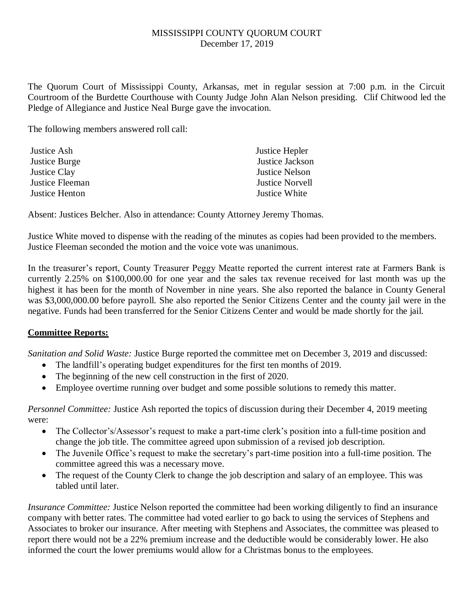## MISSISSIPPI COUNTY QUORUM COURT December 17, 2019

The Quorum Court of Mississippi County, Arkansas, met in regular session at 7:00 p.m. in the Circuit Courtroom of the Burdette Courthouse with County Judge John Alan Nelson presiding. Clif Chitwood led the Pledge of Allegiance and Justice Neal Burge gave the invocation.

The following members answered roll call:

| Justice Ash     | Justice Hepler         |
|-----------------|------------------------|
| Justice Burge   | Justice Jackson        |
| Justice Clay    | <b>Justice Nelson</b>  |
| Justice Fleeman | <b>Justice Norvell</b> |
| Justice Henton  | Justice White          |

Absent: Justices Belcher. Also in attendance: County Attorney Jeremy Thomas.

Justice White moved to dispense with the reading of the minutes as copies had been provided to the members. Justice Fleeman seconded the motion and the voice vote was unanimous.

In the treasurer's report, County Treasurer Peggy Meatte reported the current interest rate at Farmers Bank is currently 2.25% on \$100,000.00 for one year and the sales tax revenue received for last month was up the highest it has been for the month of November in nine years. She also reported the balance in County General was \$3,000,000.00 before payroll. She also reported the Senior Citizens Center and the county jail were in the negative. Funds had been transferred for the Senior Citizens Center and would be made shortly for the jail.

## **Committee Reports:**

*Sanitation and Solid Waste:* Justice Burge reported the committee met on December 3, 2019 and discussed:

- The landfill's operating budget expenditures for the first ten months of 2019.
- The beginning of the new cell construction in the first of 2020.
- Employee overtime running over budget and some possible solutions to remedy this matter.

*Personnel Committee:* Justice Ash reported the topics of discussion during their December 4, 2019 meeting were:

- The Collector's/Assessor's request to make a part-time clerk's position into a full-time position and change the job title. The committee agreed upon submission of a revised job description.
- The Juvenile Office's request to make the secretary's part-time position into a full-time position. The committee agreed this was a necessary move.
- The request of the County Clerk to change the job description and salary of an employee. This was tabled until later.

*Insurance Committee:* Justice Nelson reported the committee had been working diligently to find an insurance company with better rates. The committee had voted earlier to go back to using the services of Stephens and Associates to broker our insurance. After meeting with Stephens and Associates, the committee was pleased to report there would not be a 22% premium increase and the deductible would be considerably lower. He also informed the court the lower premiums would allow for a Christmas bonus to the employees.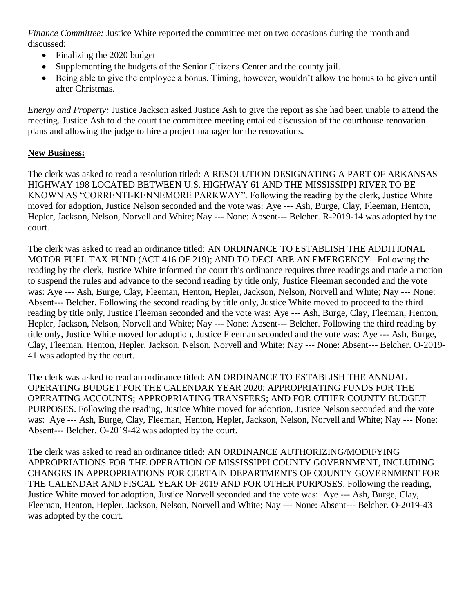*Finance Committee:* Justice White reported the committee met on two occasions during the month and discussed:

- Finalizing the 2020 budget
- Supplementing the budgets of the Senior Citizens Center and the county jail.
- Being able to give the employee a bonus. Timing, however, wouldn't allow the bonus to be given until after Christmas.

*Energy and Property:* Justice Jackson asked Justice Ash to give the report as she had been unable to attend the meeting. Justice Ash told the court the committee meeting entailed discussion of the courthouse renovation plans and allowing the judge to hire a project manager for the renovations.

## **New Business:**

The clerk was asked to read a resolution titled: A RESOLUTION DESIGNATING A PART OF ARKANSAS HIGHWAY 198 LOCATED BETWEEN U.S. HIGHWAY 61 AND THE MISSISSIPPI RIVER TO BE KNOWN AS "CORRENTI-KENNEMORE PARKWAY". Following the reading by the clerk, Justice White moved for adoption, Justice Nelson seconded and the vote was: Aye --- Ash, Burge, Clay, Fleeman, Henton, Hepler, Jackson, Nelson, Norvell and White; Nay --- None: Absent--- Belcher. R-2019-14 was adopted by the court.

The clerk was asked to read an ordinance titled: AN ORDINANCE TO ESTABLISH THE ADDITIONAL MOTOR FUEL TAX FUND (ACT 416 OF 219); AND TO DECLARE AN EMERGENCY. Following the reading by the clerk, Justice White informed the court this ordinance requires three readings and made a motion to suspend the rules and advance to the second reading by title only, Justice Fleeman seconded and the vote was: Aye --- Ash, Burge, Clay, Fleeman, Henton, Hepler, Jackson, Nelson, Norvell and White; Nay --- None: Absent--- Belcher. Following the second reading by title only, Justice White moved to proceed to the third reading by title only, Justice Fleeman seconded and the vote was: Aye --- Ash, Burge, Clay, Fleeman, Henton, Hepler, Jackson, Nelson, Norvell and White; Nay --- None: Absent--- Belcher. Following the third reading by title only, Justice White moved for adoption, Justice Fleeman seconded and the vote was: Aye --- Ash, Burge, Clay, Fleeman, Henton, Hepler, Jackson, Nelson, Norvell and White; Nay --- None: Absent--- Belcher. O-2019- 41 was adopted by the court.

The clerk was asked to read an ordinance titled: AN ORDINANCE TO ESTABLISH THE ANNUAL OPERATING BUDGET FOR THE CALENDAR YEAR 2020; APPROPRIATING FUNDS FOR THE OPERATING ACCOUNTS; APPROPRIATING TRANSFERS; AND FOR OTHER COUNTY BUDGET PURPOSES. Following the reading, Justice White moved for adoption, Justice Nelson seconded and the vote was: Aye --- Ash, Burge, Clay, Fleeman, Henton, Hepler, Jackson, Nelson, Norvell and White; Nay --- None: Absent--- Belcher. O-2019-42 was adopted by the court.

The clerk was asked to read an ordinance titled: AN ORDINANCE AUTHORIZING/MODIFYING APPROPRIATIONS FOR THE OPERATION OF MISSISSIPPI COUNTY GOVERNMENT, INCLUDING CHANGES IN APPROPRIATIONS FOR CERTAIN DEPARTMENTS OF COUNTY GOVERNMENT FOR THE CALENDAR AND FISCAL YEAR OF 2019 AND FOR OTHER PURPOSES. Following the reading, Justice White moved for adoption, Justice Norvell seconded and the vote was: Aye --- Ash, Burge, Clay, Fleeman, Henton, Hepler, Jackson, Nelson, Norvell and White; Nay --- None: Absent--- Belcher. O-2019-43 was adopted by the court.